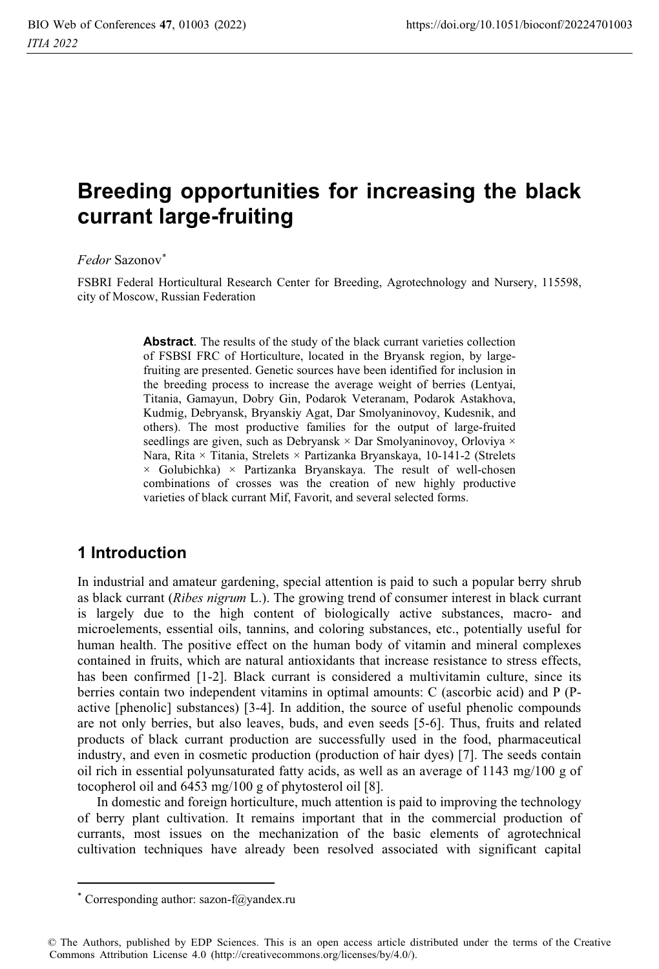# **Breeding opportunities for increasing the black currant large-fruiting**

#### *Fedor* Sazonov\*

FSBRI Federal Horticultural Research Center for Breeding, Agrotechnology and Nursery, 115598, city of Moscow, Russian Federation

> **Abstract**. The results of the study of the black currant varieties collection of FSBSI FRC of Horticulture, located in the Bryansk region, by largefruiting are presented. Genetic sources have been identified for inclusion in the breeding process to increase the average weight of berries (Lentyai, Titania, Gamayun, Dobry Gin, Podarok Veteranam, Podarok Astakhova, Kudmig, Debryansk, Bryanskiy Agat, Dar Smolyaninovoy, Kudesnik, and others). The most productive families for the output of large-fruited seedlings are given, such as Debryansk × Dar Smolyaninovoy, Orloviya × Nara, Rita × Titania, Strelets × Partizanka Bryanskaya, 10-141-2 (Strelets  $\times$  Golubichka)  $\times$  Partizanka Bryanskaya. The result of well-chosen combinations of crosses was the creation of new highly productive varieties of black currant Mif, Favorit, and several selected forms.

# **1 Introduction**

In industrial and amateur gardening, special attention is paid to such a popular berry shrub as black currant (*Ribes nigrum* L.). The growing trend of consumer interest in black currant is largely due to the high content of biologically active substances, macro- and microelements, essential oils, tannins, and coloring substances, etc., potentially useful for human health. The positive effect on the human body of vitamin and mineral complexes contained in fruits, which are natural antioxidants that increase resistance to stress effects, has been confirmed [1-2]. Black currant is considered a multivitamin culture, since its berries contain two independent vitamins in optimal amounts: C (ascorbic acid) and P (Pactive [phenolic] substances) [3-4]. In addition, the source of useful phenolic compounds are not only berries, but also leaves, buds, and even seeds [5-6]. Thus, fruits and related products of black currant production are successfully used in the food, pharmaceutical industry, and even in cosmetic production (production of hair dyes) [7]. The seeds contain oil rich in essential polyunsaturated fatty acids, as well as an average of  $1143 \text{ mg}/100 \text{ g}$  of tocopherol oil and 6453 mg/100 g of phytosterol oil [8].

In domestic and foreign horticulture, much attention is paid to improving the technology of berry plant cultivation. It remains important that in the commercial production of currants, most issues on the mechanization of the basic elements of agrotechnical cultivation techniques have already been resolved associated with significant capital

<sup>\*</sup> Corresponding author: sazon-f@yandex.ru

<sup>©</sup> The Authors, published by EDP Sciences. This is an open access article distributed under the terms of the Creative Commons Attribution License 4.0 (http://creativecommons.org/licenses/by/4.0/).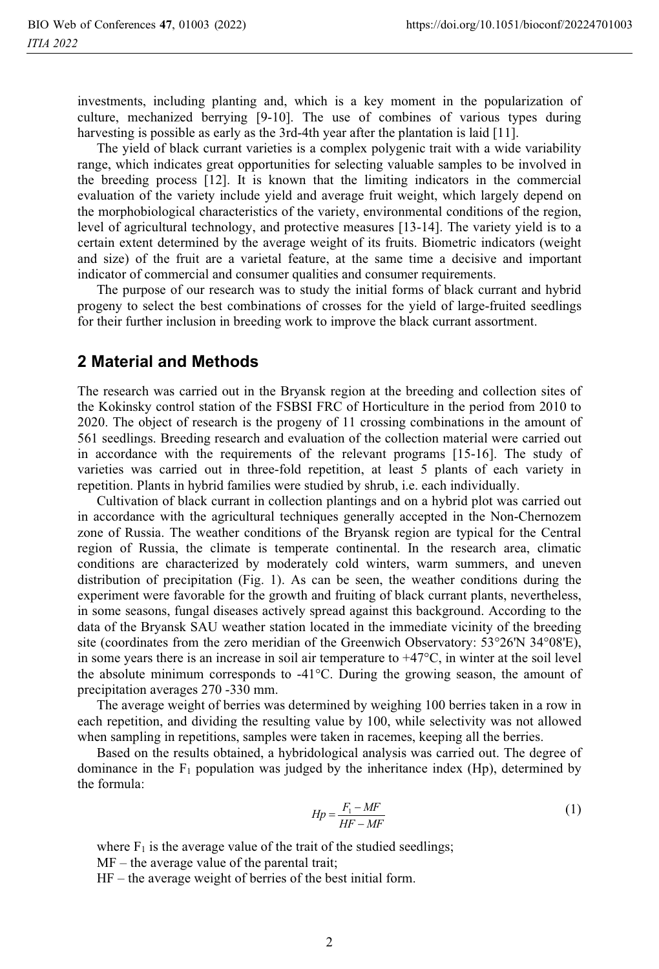investments, including planting and, which is a key moment in the popularization of culture, mechanized berrying [9-10]. The use of combines of various types during harvesting is possible as early as the 3rd-4th year after the plantation is laid [11].

The yield of black currant varieties is a complex polygenic trait with a wide variability range, which indicates great opportunities for selecting valuable samples to be involved in the breeding process [12]. It is known that the limiting indicators in the commercial evaluation of the variety include yield and average fruit weight, which largely depend on the morphobiological characteristics of the variety, environmental conditions of the region, level of agricultural technology, and protective measures [13-14]. The variety yield is to a certain extent determined by the average weight of its fruits. Biometric indicators (weight and size) of the fruit are a varietal feature, at the same time a decisive and important indicator of commercial and consumer qualities and consumer requirements.

The purpose of our research was to study the initial forms of black currant and hybrid progeny to select the best combinations of crosses for the yield of large-fruited seedlings for their further inclusion in breeding work to improve the black currant assortment.

#### **2 Material and Methods**

The research was carried out in the Bryansk region at the breeding and collection sites of the Kokinsky control station of the FSBSI FRC of Horticulture in the period from 2010 to 2020. The object of research is the progeny of 11 crossing combinations in the amount of 561 seedlings. Breeding research and evaluation of the collection material were carried out in accordance with the requirements of the relevant programs [15-16]. The study of varieties was carried out in three-fold repetition, at least 5 plants of each variety in repetition. Plants in hybrid families were studied by shrub, i.e. each individually.

Cultivation of black currant in collection plantings and on a hybrid plot was carried out in accordance with the agricultural techniques generally accepted in the Non-Chernozem zone of Russia. The weather conditions of the Bryansk region are typical for the Central region of Russia, the climate is temperate continental. In the research area, climatic conditions are characterized by moderately cold winters, warm summers, and uneven distribution of precipitation (Fig. 1). As can be seen, the weather conditions during the experiment were favorable for the growth and fruiting of black currant plants, nevertheless, in some seasons, fungal diseases actively spread against this background. According to the data of the Bryansk SAU weather station located in the immediate vicinity of the breeding site (coordinates from the zero meridian of the Greenwich Observatory: 53°26'N 34°08'E), in some years there is an increase in soil air temperature to  $+47^{\circ}$ C, in winter at the soil level the absolute minimum corresponds to  $-41^{\circ}$ C. During the growing season, the amount of precipitation averages 270 -330 mm.

The average weight of berries was determined by weighing 100 berries taken in a row in each repetition, and dividing the resulting value by 100, while selectivity was not allowed when sampling in repetitions, samples were taken in racemes, keeping all the berries.

Based on the results obtained, a hybridological analysis was carried out. The degree of dominance in the  $F_1$  population was judged by the inheritance index (Hp), determined by the formula:

$$
Hp = \frac{F_1 - MF}{HF - MF} \tag{1}
$$

where  $F_1$  is the average value of the trait of the studied seedlings;

MF – the average value of the parental trait;

HF – the average weight of berries of the best initial form.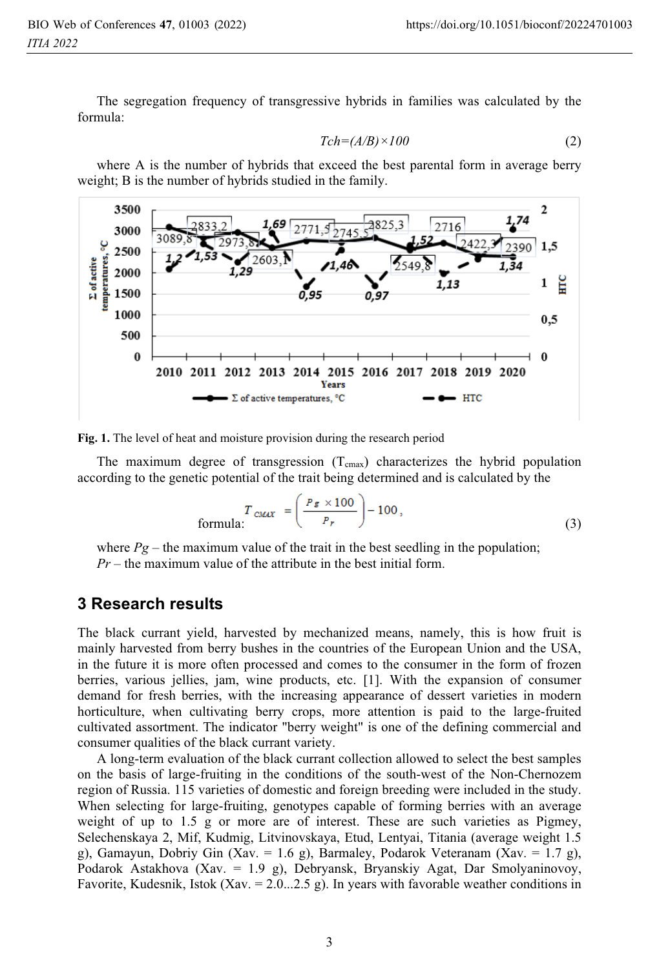The segregation frequency of transgressive hybrids in families was calculated by the formula:

$$
Tch = (A/B) \times 100 \tag{2}
$$

where A is the number of hybrids that exceed the best parental form in average berry weight; B is the number of hybrids studied in the family.



**Fig. 1.** The level of heat and moisture provision during the research period

The maximum degree of transgression  $(T_{cmax})$  characterizes the hybrid population according to the genetic potential of the trait being determined and is calculated by the

$$
T_{\text{CMAX}} = \left(\frac{P_{\mathcal{E}} \times 100}{P_r}\right) - 100,\tag{3}
$$

where  $Pg$  – the maximum value of the trait in the best seedling in the population; *Pr* – the maximum value of the attribute in the best initial form.

### **3 Research results**

The black currant yield, harvested by mechanized means, namely, this is how fruit is mainly harvested from berry bushes in the countries of the European Union and the USA, in the future it is more often processed and comes to the consumer in the form of frozen berries, various jellies, jam, wine products, etc. [1]. With the expansion of consumer demand for fresh berries, with the increasing appearance of dessert varieties in modern horticulture, when cultivating berry crops, more attention is paid to the large-fruited cultivated assortment. The indicator "berry weight" is one of the defining commercial and consumer qualities of the black currant variety.

A long-term evaluation of the black currant collection allowed to select the best samples on the basis of large-fruiting in the conditions of the south-west of the Non-Chernozem region of Russia. 115 varieties of domestic and foreign breeding were included in the study. When selecting for large-fruiting, genotypes capable of forming berries with an average weight of up to 1.5 g or more are of interest. These are such varieties as Pigmey, Selechenskaya 2, Mif, Kudmig, Litvinovskaya, Etud, Lentyai, Titania (average weight 1.5 g), Gamayun, Dobriy Gin (Xav. = 1.6 g), Barmaley, Podarok Veteranam (Xav. = 1.7 g), Podarok Astakhova (Xav. = 1.9 g), Debryansk, Bryanskiy Agat, Dar Smolyaninovoy, Favorite, Kudesnik, Istok (Xav. =  $2.0...2.5$  g). In years with favorable weather conditions in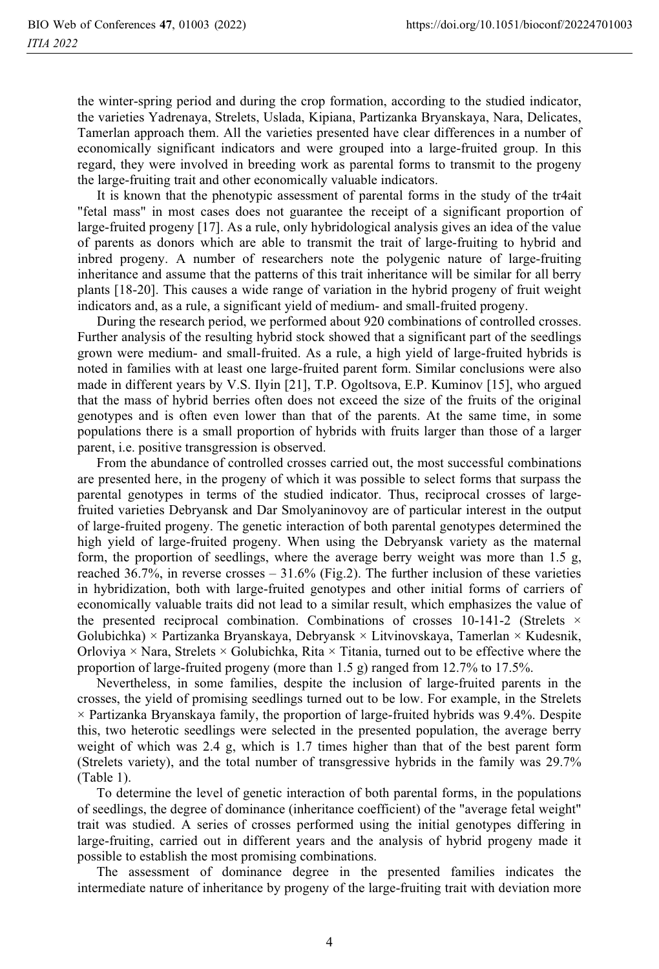the winter-spring period and during the crop formation, according to the studied indicator, the varieties Yadrenaya, Strelets, Uslada, Kipiana, Partizanka Bryanskaya, Nara, Delicates, Tamerlan approach them. All the varieties presented have clear differences in a number of economically significant indicators and were grouped into a large-fruited group. In this regard, they were involved in breeding work as parental forms to transmit to the progeny the large-fruiting trait and other economically valuable indicators.

It is known that the phenotypic assessment of parental forms in the study of the tr4ait "fetal mass" in most cases does not guarantee the receipt of a significant proportion of large-fruited progeny [17]. As a rule, only hybridological analysis gives an idea of the value of parents as donors which are able to transmit the trait of large-fruiting to hybrid and inbred progeny. A number of researchers note the polygenic nature of large-fruiting inheritance and assume that the patterns of this trait inheritance will be similar for all berry plants [18-20]. This causes a wide range of variation in the hybrid progeny of fruit weight indicators and, as a rule, a significant yield of medium- and small-fruited progeny.

During the research period, we performed about 920 combinations of controlled crosses. Further analysis of the resulting hybrid stock showed that a significant part of the seedlings grown were medium- and small-fruited. As a rule, a high yield of large-fruited hybrids is noted in families with at least one large-fruited parent form. Similar conclusions were also made in different years by V.S. Ilyin [21], T.P. Ogoltsova, E.P. Kuminov [15], who argued that the mass of hybrid berries often does not exceed the size of the fruits of the original genotypes and is often even lower than that of the parents. At the same time, in some populations there is a small proportion of hybrids with fruits larger than those of a larger parent, i.e. positive transgression is observed.

From the abundance of controlled crosses carried out, the most successful combinations are presented here, in the progeny of which it was possible to select forms that surpass the parental genotypes in terms of the studied indicator. Thus, reciprocal crosses of largefruited varieties Debryansk and Dar Smolyaninovoy are of particular interest in the output of large-fruited progeny. The genetic interaction of both parental genotypes determined the high yield of large-fruited progeny. When using the Debryansk variety as the maternal form, the proportion of seedlings, where the average berry weight was more than 1.5 g, reached 36.7%, in reverse crosses – 31.6% (Fig.2). The further inclusion of these varieties in hybridization, both with large-fruited genotypes and other initial forms of carriers of economically valuable traits did not lead to a similar result, which emphasizes the value of the presented reciprocal combination. Combinations of crosses  $10-141-2$  (Strelets  $\times$ Golubichka) × Partizanka Bryanskaya, Debryansk × Litvinovskaya, Tamerlan × Kudesnik, Orloviya  $\times$  Nara, Strelets  $\times$  Golubichka, Rita  $\times$  Titania, turned out to be effective where the proportion of large-fruited progeny (more than 1.5 g) ranged from 12.7% to 17.5%.

Nevertheless, in some families, despite the inclusion of large-fruited parents in the crosses, the yield of promising seedlings turned out to be low. For example, in the Strelets  $\times$  Partizanka Bryanskaya family, the proportion of large-fruited hybrids was 9.4%. Despite this, two heterotic seedlings were selected in the presented population, the average berry weight of which was 2.4 g, which is 1.7 times higher than that of the best parent form (Strelets variety), and the total number of transgressive hybrids in the family was 29.7% (Table 1).

To determine the level of genetic interaction of both parental forms, in the populations of seedlings, the degree of dominance (inheritance coefficient) of the "average fetal weight" trait was studied. A series of crosses performed using the initial genotypes differing in large-fruiting, carried out in different years and the analysis of hybrid progeny made it possible to establish the most promising combinations.

The assessment of dominance degree in the presented families indicates the intermediate nature of inheritance by progeny of the large-fruiting trait with deviation more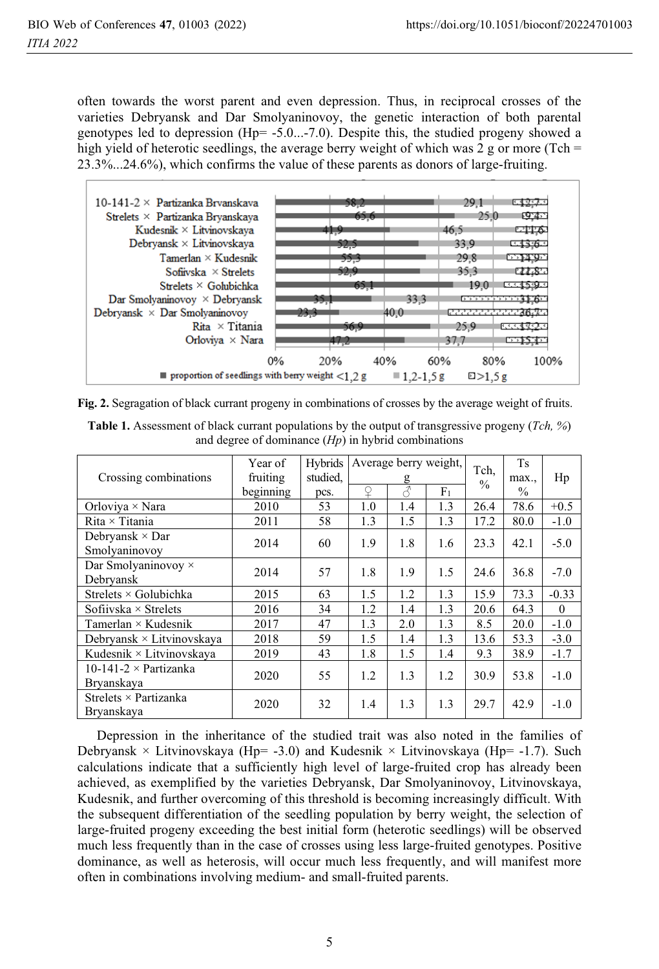often towards the worst parent and even depression. Thus, in reciprocal crosses of the varieties Debryansk and Dar Smolyaninovoy, the genetic interaction of both parental genotypes led to depression (Hp= -5.0...-7.0). Despite this, the studied progeny showed a high yield of heterotic seedlings, the average berry weight of which was 2 g or more (Tch  $=$ 23.3%...24.6%), which confirms the value of these parents as donors of large-fruiting.



**Fig. 2.** Segragation of black currant progeny in combinations of crosses by the average weight of fruits.

| <b>Table 1.</b> Assessment of black currant populations by the output of transgressive progeny ( <i>Tch</i> , %) |  |
|------------------------------------------------------------------------------------------------------------------|--|
| and degree of dominance $(H_p)$ in hybrid combinations                                                           |  |

|                                  | Year of   | <b>Hybrids</b> | Average berry weight,<br>g |                          |                | Tch.<br>$\frac{0}{0}$ | Ts    |          |        |
|----------------------------------|-----------|----------------|----------------------------|--------------------------|----------------|-----------------------|-------|----------|--------|
| Crossing combinations            | fruiting  | studied.       |                            |                          |                |                       | max., | Hp       |        |
|                                  | beginning | pcs.           | ¥                          | $\overline{\mathcal{L}}$ | F <sub>1</sub> |                       | $\%$  |          |        |
| Orloviya $\times$ Nara           | 2010      | 53             | 1.0                        | 1.4                      | 1.3            | 26.4                  | 78.6  | $+0.5$   |        |
| $Rita \times Titania$            | 2011      | 58             | 1.3                        | 1.5                      | 1.3            | 17.2                  | 80.0  | $-1.0$   |        |
| Debryansk $\times$ Dar           | 2014      | 60             | 1.9                        | 1.8                      | 1.6            | 23.3                  | 42.1  | $-5.0$   |        |
| Smolvaninovov                    |           |                |                            |                          |                |                       |       |          |        |
| Dar Smolyaninovoy $\times$       | 2014      |                | 57                         | 1.8                      | 1.9            | 1.5                   | 24.6  | 36.8     | $-7.0$ |
| Debryansk                        |           |                |                            |                          |                |                       |       |          |        |
| Strelets $\times$ Golubichka     | 2015      | 63             | 1.5                        | 1.2                      | 1.3            | 15.9                  | 73.3  | $-0.33$  |        |
| Sofiivska $\times$ Strelets      | 2016      | 34             | 1.2                        | 1.4                      | 1.3            | 20.6                  | 64.3  | $\theta$ |        |
| Tamerlan $\times$ Kudesnik       | 2017      | 47             | 1.3                        | 2.0                      | 1.3            | 8.5                   | 20.0  | $-1.0$   |        |
| Debryansk $\times$ Litvinovskaya | 2018      | 59             | 1.5                        | 1.4                      | 1.3            | 13.6                  | 53.3  | $-3.0$   |        |
| Kudesnik $\times$ Litvinovskaya  | 2019      | 43             | 1.8                        | 1.5                      | 1.4            | 9.3                   | 38.9  | $-1.7$   |        |
| 10-141-2 $\times$ Partizanka     | 2020      | 55             | 1.2                        | 1.3                      | 1.2            | 30.9                  | 53.8  | $-1.0$   |        |
| Bryanskaya                       |           |                |                            |                          |                |                       |       |          |        |
| Strelets $\times$ Partizanka     | 2020      | 32             | 1.4                        | 1.3                      | 1.3            | 29.7                  | 42.9  | $-1.0$   |        |
| Bryanskaya                       |           |                |                            |                          |                |                       |       |          |        |

Depression in the inheritance of the studied trait was also noted in the families of Debryansk × Litvinovskaya (Hp=  $-3.0$ ) and Kudesnik × Litvinovskaya (Hp=  $-1.7$ ). Such calculations indicate that a sufficiently high level of large-fruited crop has already been achieved, as exemplified by the varieties Debryansk, Dar Smolyaninovoy, Litvinovskaya, Kudesnik, and further overcoming of this threshold is becoming increasingly difficult. With the subsequent differentiation of the seedling population by berry weight, the selection of large-fruited progeny exceeding the best initial form (heterotic seedlings) will be observed much less frequently than in the case of crosses using less large-fruited genotypes. Positive dominance, as well as heterosis, will occur much less frequently, and will manifest more often in combinations involving medium- and small-fruited parents.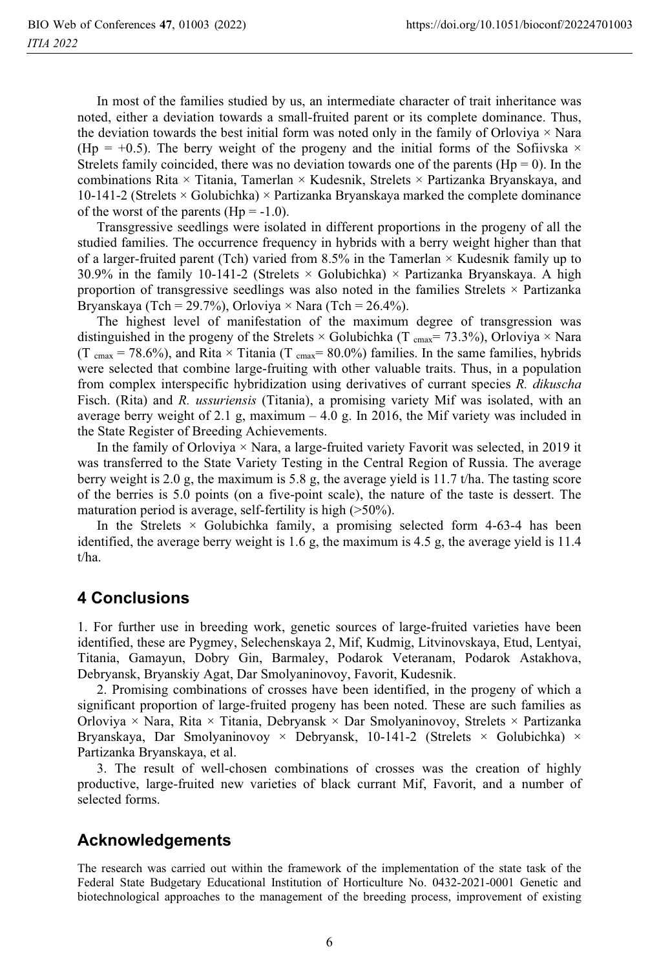In most of the families studied by us, an intermediate character of trait inheritance was noted, either a deviation towards a small-fruited parent or its complete dominance. Thus, the deviation towards the best initial form was noted only in the family of Orloviya  $\times$  Nara (Hp = +0.5). The berry weight of the progeny and the initial forms of the Sofiivska  $\times$ Strelets family coincided, there was no deviation towards one of the parents ( $Hp = 0$ ). In the combinations Rita × Titania, Tamerlan × Kudesnik, Strelets × Partizanka Bryanskaya, and 10-141-2 (Strelets  $\times$  Golubichka)  $\times$  Partizanka Bryanskaya marked the complete dominance of the worst of the parents (Hp =  $-1.0$ ).

Transgressive seedlings were isolated in different proportions in the progeny of all the studied families. The occurrence frequency in hybrids with a berry weight higher than that of a larger-fruited parent (Tch) varied from 8.5% in the Tamerlan × Kudesnik family up to 30.9% in the family 10-141-2 (Strelets  $\times$  Golubichka)  $\times$  Partizanka Bryanskaya. A high proportion of transgressive seedlings was also noted in the families Strelets × Partizanka Bryanskaya (Tch = 29.7%), Orloviya  $\times$  Nara (Tch = 26.4%).

The highest level of manifestation of the maximum degree of transgression was distinguished in the progeny of the Strelets  $\times$  Golubichka (T cmax= 73.3%), Orloviya  $\times$  Nara (T cmax = 78.6%), and Rita  $\times$  Titania (T cmax = 80.0%) families. In the same families, hybrids were selected that combine large-fruiting with other valuable traits. Thus, in a population from complex interspecific hybridization using derivatives of currant species *R. dikuscha* Fisch. (Rita) and *R. ussuriensis* (Titania), a promising variety Mif was isolated, with an average berry weight of 2.1 g, maximum  $-4.0$  g. In 2016, the Mif variety was included in the State Register of Breeding Achievements.

In the family of Orloviya  $\times$  Nara, a large-fruited variety Favorit was selected, in 2019 it was transferred to the State Variety Testing in the Central Region of Russia. The average berry weight is 2.0 g, the maximum is 5.8 g, the average yield is 11.7 t/ha. The tasting score of the berries is 5.0 points (on a five-point scale), the nature of the taste is dessert. The maturation period is average, self-fertility is high (>50%).

In the Strelets  $\times$  Golubichka family, a promising selected form 4-63-4 has been identified, the average berry weight is 1.6 g, the maximum is 4.5 g, the average yield is 11.4 t/ha.

# **4 Conclusions**

1. For further use in breeding work, genetic sources of large-fruited varieties have been identified, these are Pygmey, Selechenskaya 2, Mif, Kudmig, Litvinovskaya, Etud, Lentyai, Titania, Gamayun, Dobry Gin, Barmaley, Podarok Veteranam, Podarok Astakhova, Debryansk, Bryanskiy Agat, Dar Smolyaninovoy, Favorit, Kudesnik.

2. Promising combinations of crosses have been identified, in the progeny of which a significant proportion of large-fruited progeny has been noted. These are such families as Orloviya × Nara, Rita × Titania, Debryansk × Dar Smolyaninovoy, Strelets × Partizanka Bryanskaya, Dar Smolyaninovoy × Debryansk, 10-141-2 (Strelets × Golubichka) × Partizanka Bryanskaya, et al.

3. The result of well-chosen combinations of crosses was the creation of highly productive, large-fruited new varieties of black currant Mif, Favorit, and a number of selected forms.

# **Acknowledgements**

The research was carried out within the framework of the implementation of the state task of the Federal State Budgetary Educational Institution of Horticulture No. 0432-2021-0001 Genetic and biotechnological approaches to the management of the breeding process, improvement of existing